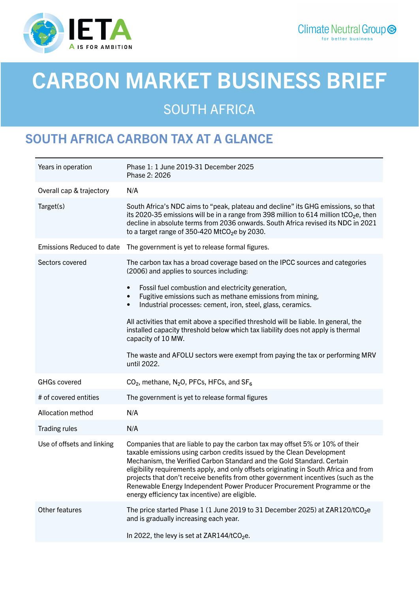

# CARBON MARKET BUSINESS BRIEF

SOUTH AFRICA

# SOUTH AFRICA CARBON TAX AT A GLANCE

| Years in operation               | Phase 1: 1 June 2019-31 December 2025<br>Phase 2: 2026                                                                                                                                                                                                                                                                                                                                                                                                                                                                                         |
|----------------------------------|------------------------------------------------------------------------------------------------------------------------------------------------------------------------------------------------------------------------------------------------------------------------------------------------------------------------------------------------------------------------------------------------------------------------------------------------------------------------------------------------------------------------------------------------|
| Overall cap & trajectory         | N/A                                                                                                                                                                                                                                                                                                                                                                                                                                                                                                                                            |
| Target(s)                        | South Africa's NDC aims to "peak, plateau and decline" its GHG emissions, so that<br>its 2020-35 emissions will be in a range from 398 million to 614 million tCO <sub>2</sub> e, then<br>decline in absolute terms from 2036 onwards. South Africa revised its NDC in 2021<br>to a target range of 350-420 MtCO <sub>2</sub> e by 2030.                                                                                                                                                                                                       |
| <b>Emissions Reduced to date</b> | The government is yet to release formal figures.                                                                                                                                                                                                                                                                                                                                                                                                                                                                                               |
| Sectors covered                  | The carbon tax has a broad coverage based on the IPCC sources and categories<br>(2006) and applies to sources including:                                                                                                                                                                                                                                                                                                                                                                                                                       |
|                                  | Fossil fuel combustion and electricity generation,<br>$\bullet$<br>Fugitive emissions such as methane emissions from mining,<br>$\bullet$<br>Industrial processes: cement, iron, steel, glass, ceramics.<br>$\bullet$                                                                                                                                                                                                                                                                                                                          |
|                                  | All activities that emit above a specified threshold will be liable. In general, the<br>installed capacity threshold below which tax liability does not apply is thermal<br>capacity of 10 MW.                                                                                                                                                                                                                                                                                                                                                 |
|                                  | The waste and AFOLU sectors were exempt from paying the tax or performing MRV<br>until 2022.                                                                                                                                                                                                                                                                                                                                                                                                                                                   |
| <b>GHGs covered</b>              | $CO2$ , methane, N <sub>2</sub> O, PFCs, HFCs, and SF <sub>6</sub>                                                                                                                                                                                                                                                                                                                                                                                                                                                                             |
| # of covered entities            | The government is yet to release formal figures                                                                                                                                                                                                                                                                                                                                                                                                                                                                                                |
| Allocation method                | N/A                                                                                                                                                                                                                                                                                                                                                                                                                                                                                                                                            |
| <b>Trading rules</b>             | N/A                                                                                                                                                                                                                                                                                                                                                                                                                                                                                                                                            |
| Use of offsets and linking       | Companies that are liable to pay the carbon tax may offset 5% or 10% of their<br>taxable emissions using carbon credits issued by the Clean Development<br>Mechanism, the Verified Carbon Standard and the Gold Standard. Certain<br>eligibility requirements apply, and only offsets originating in South Africa and from<br>projects that don't receive benefits from other government incentives (such as the<br>Renewable Energy Independent Power Producer Procurement Programme or the<br>energy efficiency tax incentive) are eligible. |
| Other features                   | The price started Phase 1 (1 June 2019 to 31 December 2025) at ZAR120/tCO <sub>2</sub> e<br>and is gradually increasing each year.                                                                                                                                                                                                                                                                                                                                                                                                             |
|                                  | In 2022, the levy is set at ZAR144/tCO <sub>2</sub> e.                                                                                                                                                                                                                                                                                                                                                                                                                                                                                         |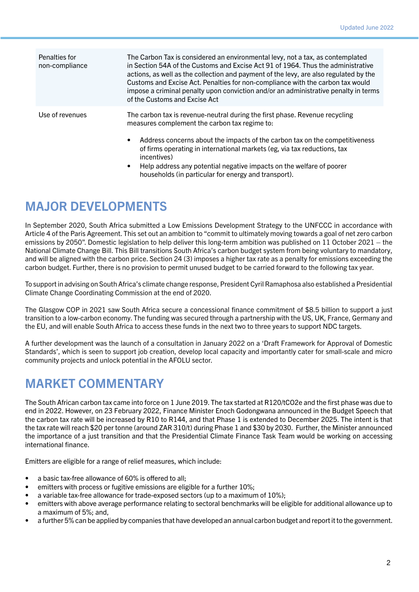| Penalties for<br>non-compliance | The Carbon Tax is considered an environmental levy, not a tax, as contemplated<br>in Section 54A of the Customs and Excise Act 91 of 1964. Thus the administrative<br>actions, as well as the collection and payment of the levy, are also regulated by the<br>Customs and Excise Act. Penalties for non-compliance with the carbon tax would<br>impose a criminal penalty upon conviction and/or an administrative penalty in terms<br>of the Customs and Excise Act |
|---------------------------------|-----------------------------------------------------------------------------------------------------------------------------------------------------------------------------------------------------------------------------------------------------------------------------------------------------------------------------------------------------------------------------------------------------------------------------------------------------------------------|
| Use of revenues                 | The carbon tax is revenue-neutral during the first phase. Revenue recycling<br>measures complement the carbon tax regime to:                                                                                                                                                                                                                                                                                                                                          |
|                                 | Address concerns about the impacts of the carbon tax on the competitiveness<br>$\bullet$<br>of firms operating in international markets (eg, via tax reductions, tax<br>incentives)<br>Help address any potential negative impacts on the welfare of poorer<br>$\bullet$<br>households (in particular for energy and transport).                                                                                                                                      |

## MAJOR DEVELOPMENTS

In September 2020, South Africa submitted a Low Emissions Development Strategy to the UNFCCC in accordance with Article 4 of the Paris Agreement. This set out an ambition to "commit to ultimately moving towards a goal of net zero carbon emissions by 2050". Domestic legislation to help deliver this long-term ambition was published on 11 October 2021 – the National Climate Change Bill. This Bill transitions South Africa's carbon budget system from being voluntary to mandatory, and will be aligned with the carbon price. Section 24 (3) imposes a higher tax rate as a penalty for emissions exceeding the carbon budget. Further, there is no provision to permit unused budget to be carried forward to the following tax year.

To support in advising on South Africa's climate change response, President Cyril Ramaphosa also established a Presidential Climate Change Coordinating Commission at the end of 2020.

The Glasgow COP in 2021 saw South Africa secure a concessional finance commitment of \$8.5 billion to support a just transition to a low-carbon economy. The funding was secured through a partnership with the US, UK, France, Germany and the EU, and will enable South Africa to access these funds in the next two to three years to support NDC targets.

A further development was the launch of a consultation in January 2022 on a 'Draft Framework for Approval of Domestic Standards', which is seen to support job creation, develop local capacity and importantly cater for small-scale and micro community projects and unlock potential in the AFOLU sector.

#### MARKET COMMENTARY

The South African carbon tax came into force on 1 June 2019. The tax started at R120/tCO2e and the first phase was due to end in 2022. However, on 23 February 2022, Finance Minister Enoch Godongwana announced in the Budget Speech that the carbon tax rate will be increased by R10 to R144, and that Phase 1 is extended to December 2025. The intent is that the tax rate will reach \$20 per tonne (around ZAR 310/t) during Phase 1 and \$30 by 2030. Further, the Minister announced the importance of a just transition and that the Presidential Climate Finance Task Team would be working on accessing international finance.

Emitters are eligible for a range of relief measures, which include:

- a basic tax-free allowance of 60% is offered to all;
- emitters with process or fugitive emissions are eligible for a further 10%;
- a variable tax-free allowance for trade-exposed sectors (up to a maximum of 10%);
- emitters with above average performance relating to sectoral benchmarks will be eligible for additional allowance up to a maximum of 5%; and,
- a further 5% can be applied by companies that have developed an annual carbon budget and report it to the government.